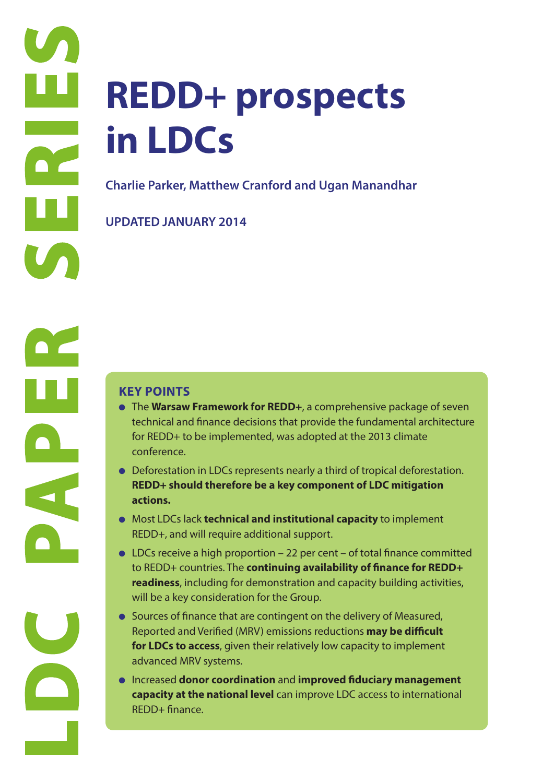# **REDD+ prospects in LDCs**

**Charlie Parker, Matthew Cranford and Ugan Manandhar**

**UPDATED JANUARY 2014**

- **The Warsaw Framework for REDD**+, a comprehensive package of seven technical and finance decisions that provide the fundamental architecture for REDD+ to be implemented, was adopted at the 2013 climate conference.
- Deforestation in LDCs represents nearly a third of tropical deforestation. **REDD+ should therefore be a key component of LDC mitigation actions.**
- Most LDCs lack **technical and institutional capacity** to implement REDD+, and will require additional support.
- LDCs receive a high proportion 22 per cent of total finance committed to REDD+ countries. The **continuing availability of finance for REDD+ readiness**, including for demonstration and capacity building activities, will be a key consideration for the Group.
- Sources of finance that are contingent on the delivery of Measured, Reported and Verified (MRV) emissions reductions **may be difficult for LDCs to access**, given their relatively low capacity to implement advanced MRV systems.
- Increased **donor coordination** and **improved fiduciary management capacity at the national level** can improve LDC access to international REDD+ finance.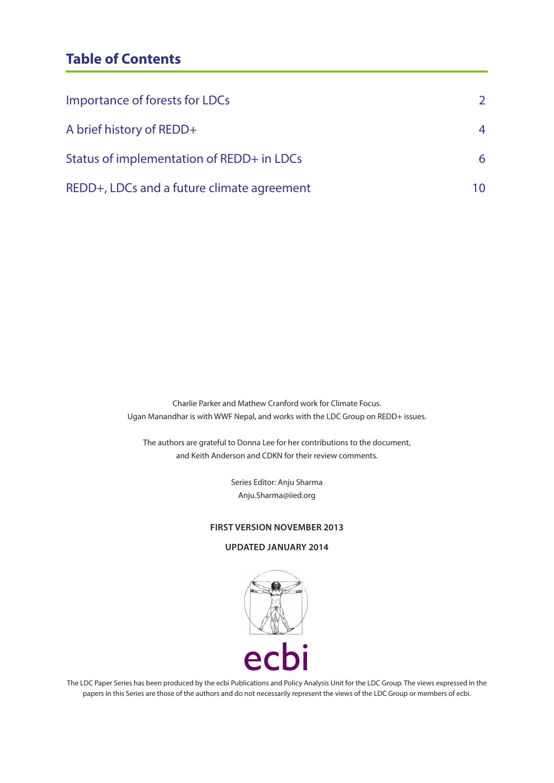## **Table of Contents**

| Importance of forests for LDCs             |    |
|--------------------------------------------|----|
| A brief history of REDD+                   | 4  |
| Status of implementation of REDD+ in LDCs  | 6  |
| REDD+, LDCs and a future climate agreement | 10 |

Charlie Parker and Mathew Cranford work for Climate Focus. Ugan Manandhar is with WWF Nepal, and works with the LDC Group on REDD+ issues.

The authors are grateful to Donna Lee for her contributions to the document, and Keith Anderson and CDKN for their review comments.

> Series Editor: Anju Sharma Anju.Sharma@iied.org

#### **FIRST VERSION NOVEMBER 2013**

#### **UPDATED JANUARY 2014**



The LDC Paper Series has been produced by the ecbi Publications and Policy Analysis Unit for the LDC Group. The views expressed in the papers in this Series are those of the authors and do not necessarily represent the views of the LDC Group or members of ecbi.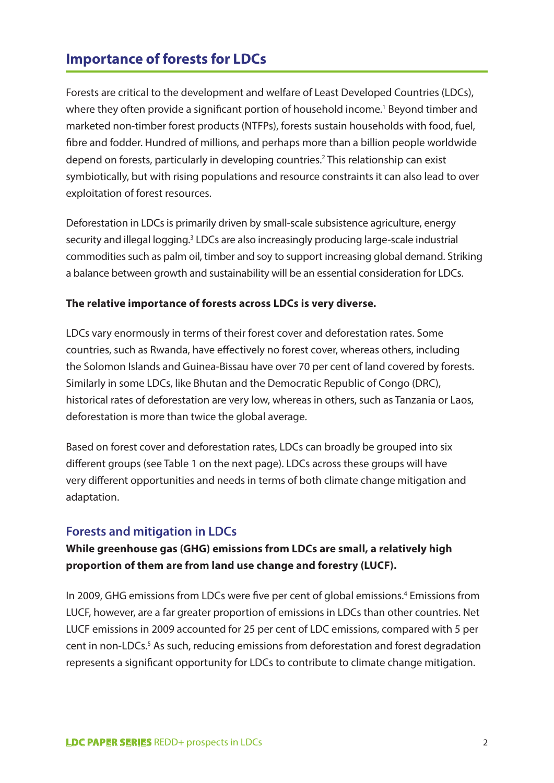## **Importance of forests for LDCs**

Forests are critical to the development and welfare of Least Developed Countries (LDCs), where they often provide a significant portion of household income.<sup>1</sup> Beyond timber and marketed non-timber forest products (NTFPs), forests sustain households with food, fuel, fibre and fodder. Hundred of millions, and perhaps more than a billion people worldwide depend on forests, particularly in developing countries.<sup>2</sup> This relationship can exist symbiotically, but with rising populations and resource constraints it can also lead to over exploitation of forest resources.

Deforestation in LDCs is primarily driven by small-scale subsistence agriculture, energy security and illegal logging.<sup>3</sup> LDCs are also increasingly producing large-scale industrial commodities such as palm oil, timber and soy to support increasing global demand. Striking a balance between growth and sustainability will be an essential consideration for LDCs.

#### **The relative importance of forests across LDCs is very diverse.**

LDCs vary enormously in terms of their forest cover and deforestation rates. Some countries, such as Rwanda, have effectively no forest cover, whereas others, including the Solomon Islands and Guinea-Bissau have over 70 per cent of land covered by forests. Similarly in some LDCs, like Bhutan and the Democratic Republic of Congo (DRC), historical rates of deforestation are very low, whereas in others, such as Tanzania or Laos, deforestation is more than twice the global average.

Based on forest cover and deforestation rates, LDCs can broadly be grouped into six different groups (see Table 1 on the next page). LDCs across these groups will have very different opportunities and needs in terms of both climate change mitigation and adaptation.

## **Forests and mitigation in LDCs**

## **While greenhouse gas (GHG) emissions from LDCs are small, a relatively high proportion of them are from land use change and forestry (LUCF).**

In 2009, GHG emissions from LDCs were five per cent of global emissions.<sup>4</sup> Emissions from LUCF, however, are a far greater proportion of emissions in LDCs than other countries. Net LUCF emissions in 2009 accounted for 25 per cent of LDC emissions, compared with 5 per cent in non-LDCs.<sup>5</sup> As such, reducing emissions from deforestation and forest degradation represents a significant opportunity for LDCs to contribute to climate change mitigation.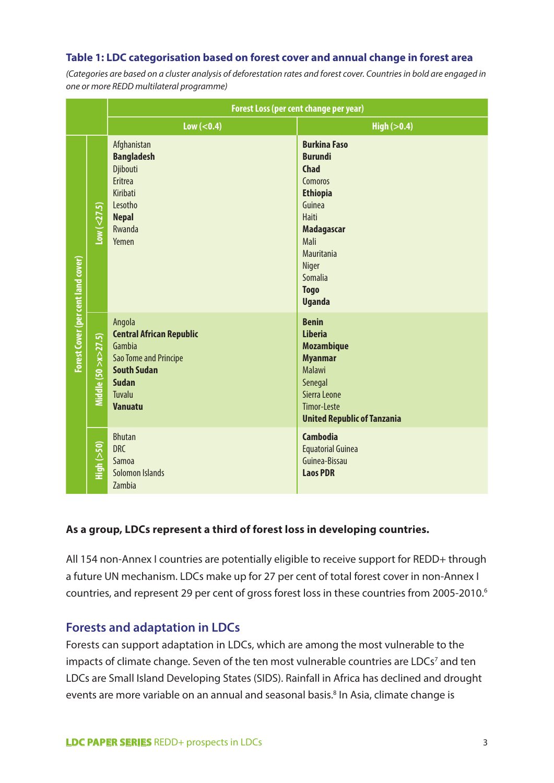#### **Table 1: LDC categorisation based on forest cover and annual change in forest area**

*(Categories are based on a cluster analysis of deforestation rates and forest cover. Countries in bold are engaged in one or more REDD multilateral programme)*

|                                    |                        | <b>Forest Loss (per cent change per year)</b>                                                                                                         |                                                                                                                                                                                                                           |  |  |
|------------------------------------|------------------------|-------------------------------------------------------------------------------------------------------------------------------------------------------|---------------------------------------------------------------------------------------------------------------------------------------------------------------------------------------------------------------------------|--|--|
|                                    |                        | $Low (< 0.4)$                                                                                                                                         | High $(>0.4)$                                                                                                                                                                                                             |  |  |
| Forest Cover (per cent land cover) | Low (<27.5)            | Afghanistan<br><b>Bangladesh</b><br>Djibouti<br>Eritrea<br><b>Kiribati</b><br>Lesotho<br><b>Nepal</b><br>Rwanda<br>Yemen                              | <b>Burkina Faso</b><br><b>Burundi</b><br><b>Chad</b><br>Comoros<br><b>Ethiopia</b><br>Guinea<br><b>Haiti</b><br><b>Madagascar</b><br>Mali<br><b>Mauritania</b><br>Niger<br><b>Somalia</b><br><b>Togo</b><br><b>Uganda</b> |  |  |
|                                    | Middle (50 > x > 27.5) | Angola<br><b>Central African Republic</b><br>Gambia<br>Sao Tome and Principe<br><b>South Sudan</b><br><b>Sudan</b><br><b>Tuvalu</b><br><b>Vanuatu</b> | <b>Benin</b><br><b>Liberia</b><br><b>Mozambique</b><br><b>Myanmar</b><br><b>Malawi</b><br>Senegal<br>Sierra Leone<br><b>Timor-Leste</b><br><b>United Republic of Tanzania</b>                                             |  |  |
|                                    | $H$ iqh $(>50)$        | <b>Bhutan</b><br><b>DRC</b><br>Samoa<br>Solomon Islands<br>Zambia                                                                                     | <b>Cambodia</b><br><b>Equatorial Guinea</b><br>Guinea-Bissau<br><b>Laos PDR</b>                                                                                                                                           |  |  |

#### **As a group, LDCs represent a third of forest loss in developing countries.**

All 154 non-Annex I countries are potentially eligible to receive support for REDD+ through a future UN mechanism. LDCs make up for 27 per cent of total forest cover in non-Annex I countries, and represent 29 per cent of gross forest loss in these countries from 2005-2010.<sup>6</sup>

#### **Forests and adaptation in LDCs**

Forests can support adaptation in LDCs, which are among the most vulnerable to the impacts of climate change. Seven of the ten most vulnerable countries are LDCs<sup>7</sup> and ten LDCs are Small Island Developing States (SIDS). Rainfall in Africa has declined and drought events are more variable on an annual and seasonal basis.<sup>8</sup> In Asia, climate change is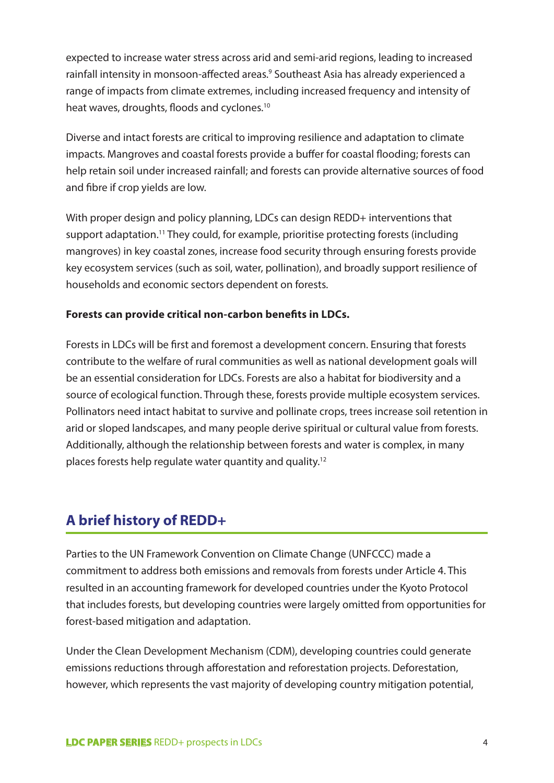expected to increase water stress across arid and semi-arid regions, leading to increased rainfall intensity in monsoon-affected areas.<sup>9</sup> Southeast Asia has already experienced a range of impacts from climate extremes, including increased frequency and intensity of heat waves, droughts, floods and cyclones.10

Diverse and intact forests are critical to improving resilience and adaptation to climate impacts. Mangroves and coastal forests provide a buffer for coastal flooding; forests can help retain soil under increased rainfall; and forests can provide alternative sources of food and fibre if crop yields are low.

With proper design and policy planning, LDCs can design REDD+ interventions that support adaptation.<sup>11</sup> They could, for example, prioritise protecting forests (including mangroves) in key coastal zones, increase food security through ensuring forests provide key ecosystem services (such as soil, water, pollination), and broadly support resilience of households and economic sectors dependent on forests.

#### **Forests can provide critical non-carbon benefits in LDCs.**

Forests in LDCs will be first and foremost a development concern. Ensuring that forests contribute to the welfare of rural communities as well as national development goals will be an essential consideration for LDCs. Forests are also a habitat for biodiversity and a source of ecological function. Through these, forests provide multiple ecosystem services. Pollinators need intact habitat to survive and pollinate crops, trees increase soil retention in arid or sloped landscapes, and many people derive spiritual or cultural value from forests. Additionally, although the relationship between forests and water is complex, in many places forests help regulate water quantity and quality.12

## **A brief history of REDD+**

Parties to the UN Framework Convention on Climate Change (UNFCCC) made a commitment to address both emissions and removals from forests under Article 4. This resulted in an accounting framework for developed countries under the Kyoto Protocol that includes forests, but developing countries were largely omitted from opportunities for forest-based mitigation and adaptation.

Under the Clean Development Mechanism (CDM), developing countries could generate emissions reductions through afforestation and reforestation projects. Deforestation, however, which represents the vast majority of developing country mitigation potential,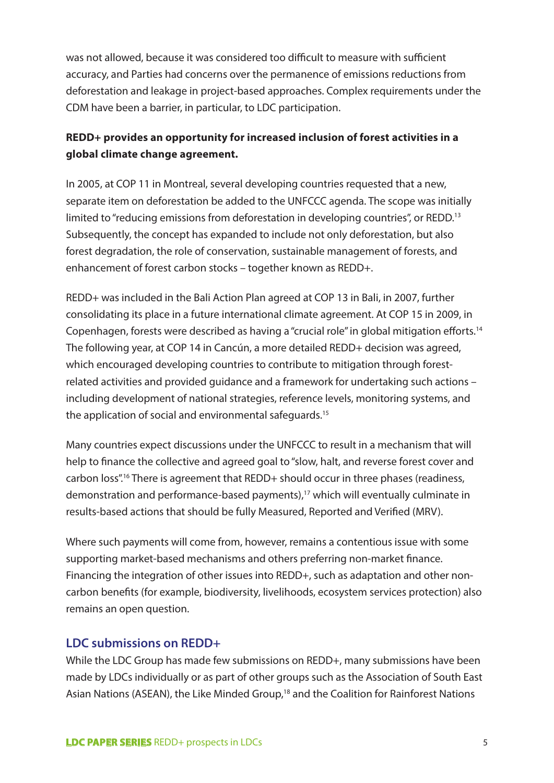was not allowed, because it was considered too difficult to measure with sufficient accuracy, and Parties had concerns over the permanence of emissions reductions from deforestation and leakage in project-based approaches. Complex requirements under the CDM have been a barrier, in particular, to LDC participation.

## **REDD+ provides an opportunity for increased inclusion of forest activities in a global climate change agreement.**

In 2005, at COP 11 in Montreal, several developing countries requested that a new, separate item on deforestation be added to the UNFCCC agenda. The scope was initially limited to "reducing emissions from deforestation in developing countries", or REDD.<sup>13</sup> Subsequently, the concept has expanded to include not only deforestation, but also forest degradation, the role of conservation, sustainable management of forests, and enhancement of forest carbon stocks – together known as REDD+.

REDD+ was included in the Bali Action Plan agreed at COP 13 in Bali, in 2007, further consolidating its place in a future international climate agreement. At COP 15 in 2009, in Copenhagen, forests were described as having a "crucial role" in global mitigation efforts.14 The following year, at COP 14 in Cancún, a more detailed REDD+ decision was agreed, which encouraged developing countries to contribute to mitigation through forestrelated activities and provided guidance and a framework for undertaking such actions – including development of national strategies, reference levels, monitoring systems, and the application of social and environmental safeguards.<sup>15</sup>

Many countries expect discussions under the UNFCCC to result in a mechanism that will help to finance the collective and agreed goal to "slow, halt, and reverse forest cover and carbon loss".16 There is agreement that REDD+ should occur in three phases (readiness, demonstration and performance-based payments),17 which will eventually culminate in results-based actions that should be fully Measured, Reported and Verified (MRV).

Where such payments will come from, however, remains a contentious issue with some supporting market-based mechanisms and others preferring non-market finance. Financing the integration of other issues into REDD+, such as adaptation and other noncarbon benefits (for example, biodiversity, livelihoods, ecosystem services protection) also remains an open question.

## **LDC submissions on REDD+**

While the LDC Group has made few submissions on REDD+, many submissions have been made by LDCs individually or as part of other groups such as the Association of South East Asian Nations (ASEAN), the Like Minded Group,<sup>18</sup> and the Coalition for Rainforest Nations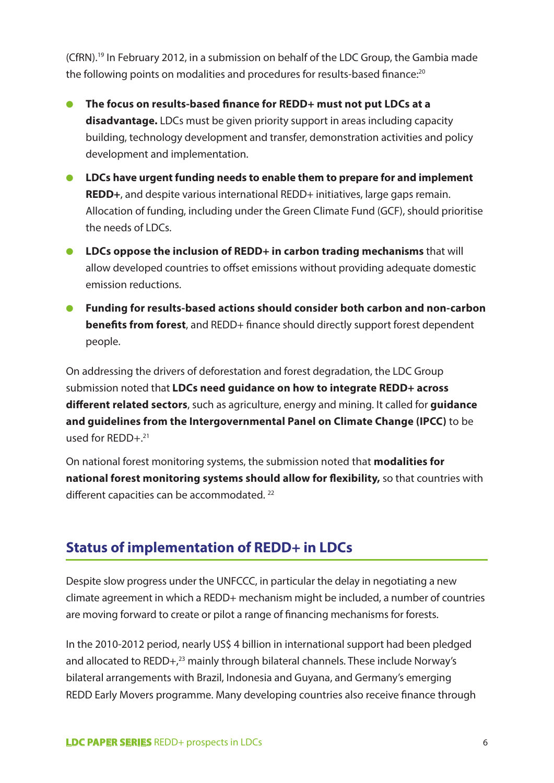(CfRN).19 In February 2012, in a submission on behalf of the LDC Group, the Gambia made the following points on modalities and procedures for results-based finance:<sup>20</sup>

- **The focus on results-based finance for REDD+ must not put LDCs at a disadvantage.** LDCs must be given priority support in areas including capacity building, technology development and transfer, demonstration activities and policy development and implementation.
- **LDCs have urgent funding needs to enable them to prepare for and implement REDD+**, and despite various international REDD+ initiatives, large gaps remain. Allocation of funding, including under the Green Climate Fund (GCF), should prioritise the needs of LDCs.
- **LDCs oppose the inclusion of REDD+ in carbon trading mechanisms** that will allow developed countries to offset emissions without providing adequate domestic emission reductions.
- **Funding for results-based actions should consider both carbon and non-carbon benefits from forest**, and REDD+ finance should directly support forest dependent people.

On addressing the drivers of deforestation and forest degradation, the LDC Group submission noted that **LDCs need guidance on how to integrate REDD+ across different related sectors**, such as agriculture, energy and mining. It called for **guidance and guidelines from the Intergovernmental Panel on Climate Change (IPCC)** to be used for  $REDD+<sup>21</sup>$ 

On national forest monitoring systems, the submission noted that **modalities for national forest monitoring systems should allow for flexibility,** so that countries with different capacities can be accommodated.<sup>22</sup>

## **Status of implementation of REDD+ in LDCs**

Despite slow progress under the UNFCCC, in particular the delay in negotiating a new climate agreement in which a REDD+ mechanism might be included, a number of countries are moving forward to create or pilot a range of financing mechanisms for forests.

In the 2010-2012 period, nearly US\$ 4 billion in international support had been pledged and allocated to REDD+,<sup>23</sup> mainly through bilateral channels. These include Norway's bilateral arrangements with Brazil, Indonesia and Guyana, and Germany's emerging REDD Early Movers programme. Many developing countries also receive finance through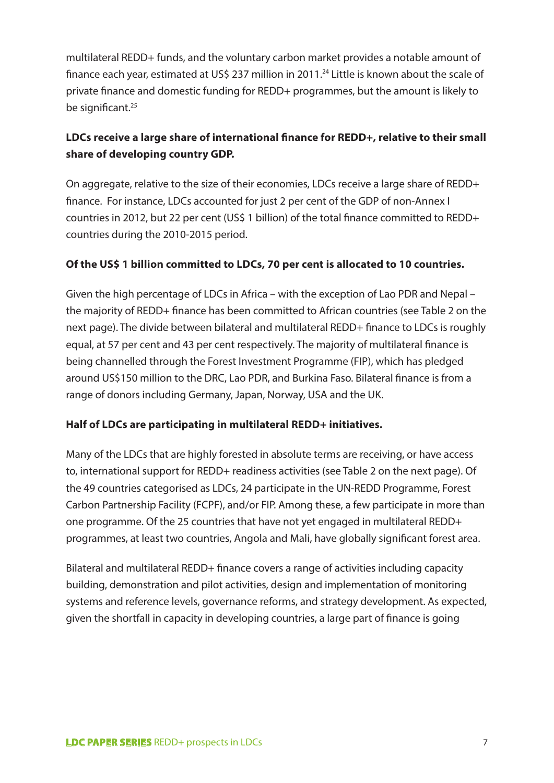multilateral REDD+ funds, and the voluntary carbon market provides a notable amount of finance each year, estimated at US\$ 237 million in 2011.<sup>24</sup> Little is known about the scale of private finance and domestic funding for REDD+ programmes, but the amount is likely to be significant.<sup>25</sup>

## **LDCs receive a large share of international finance for REDD+, relative to their small share of developing country GDP.**

On aggregate, relative to the size of their economies, LDCs receive a large share of REDD+ finance. For instance, LDCs accounted for just 2 per cent of the GDP of non-Annex I countries in 2012, but 22 per cent (US\$ 1 billion) of the total finance committed to REDD+ countries during the 2010-2015 period.

#### **Of the US\$ 1 billion committed to LDCs, 70 per cent is allocated to 10 countries.**

Given the high percentage of LDCs in Africa – with the exception of Lao PDR and Nepal – the majority of REDD+ finance has been committed to African countries (see Table 2 on the next page). The divide between bilateral and multilateral REDD+ finance to LDCs is roughly equal, at 57 per cent and 43 per cent respectively. The majority of multilateral finance is being channelled through the Forest Investment Programme (FIP), which has pledged around US\$150 million to the DRC, Lao PDR, and Burkina Faso. Bilateral finance is from a range of donors including Germany, Japan, Norway, USA and the UK.

#### **Half of LDCs are participating in multilateral REDD+ initiatives.**

Many of the LDCs that are highly forested in absolute terms are receiving, or have access to, international support for REDD+ readiness activities (see Table 2 on the next page). Of the 49 countries categorised as LDCs, 24 participate in the UN-REDD Programme, Forest Carbon Partnership Facility (FCPF), and/or FIP. Among these, a few participate in more than one programme. Of the 25 countries that have not yet engaged in multilateral REDD+ programmes, at least two countries, Angola and Mali, have globally significant forest area.

Bilateral and multilateral REDD+ finance covers a range of activities including capacity building, demonstration and pilot activities, design and implementation of monitoring systems and reference levels, governance reforms, and strategy development. As expected, given the shortfall in capacity in developing countries, a large part of finance is going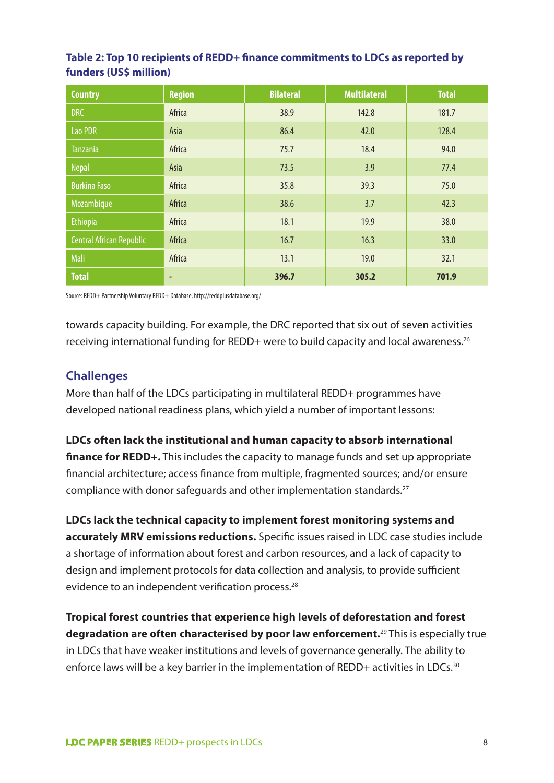#### **Table 2: Top 10 recipients of REDD+ finance commitments to LDCs as reported by funders (US\$ million)**

| <b>Country</b>           | <b>Region</b> | <b>Bilateral</b> | <b>Multilateral</b> | <b>Total</b> |
|--------------------------|---------------|------------------|---------------------|--------------|
| <b>DRC</b>               | Africa        | 38.9             | 142.8               | 181.7        |
| Lao PDR                  | Asia          | 86.4             | 42.0                | 128.4        |
| <b>Tanzania</b>          | Africa        | 75.7             | 18.4                | 94.0         |
| <b>Nepal</b>             | Asia          | 73.5             | 3.9                 | 77.4         |
| <b>Burkina Faso</b>      | Africa        | 35.8             | 39.3                | 75.0         |
| Mozambique               | Africa        | 38.6             | 3.7                 | 42.3         |
| Ethiopia                 | Africa        | 18.1             | 19.9                | 38.0         |
| Central African Republic | Africa        | 16.7             | 16.3                | 33.0         |
| Mali                     | Africa        | 13.1             | 19.0                | 32.1         |
| <b>Total</b>             | ٠             | 396.7            | 305.2               | 701.9        |

Source: REDD+ Partnership Voluntary REDD+ Database, http://reddplusdatabase.org/

towards capacity building. For example, the DRC reported that six out of seven activities receiving international funding for REDD+ were to build capacity and local awareness.26

## **Challenges**

More than half of the LDCs participating in multilateral REDD+ programmes have developed national readiness plans, which yield a number of important lessons:

**LDCs often lack the institutional and human capacity to absorb international finance for REDD+.** This includes the capacity to manage funds and set up appropriate financial architecture; access finance from multiple, fragmented sources; and/or ensure compliance with donor safeguards and other implementation standards.<sup>27</sup>

**LDCs lack the technical capacity to implement forest monitoring systems and accurately MRV emissions reductions.** Specific issues raised in LDC case studies include a shortage of information about forest and carbon resources, and a lack of capacity to design and implement protocols for data collection and analysis, to provide sufficient evidence to an independent verification process.<sup>28</sup>

**Tropical forest countries that experience high levels of deforestation and forest degradation are often characterised by poor law enforcement.**29 This is especially true in LDCs that have weaker institutions and levels of governance generally. The ability to enforce laws will be a key barrier in the implementation of REDD+ activities in LDCs.<sup>30</sup>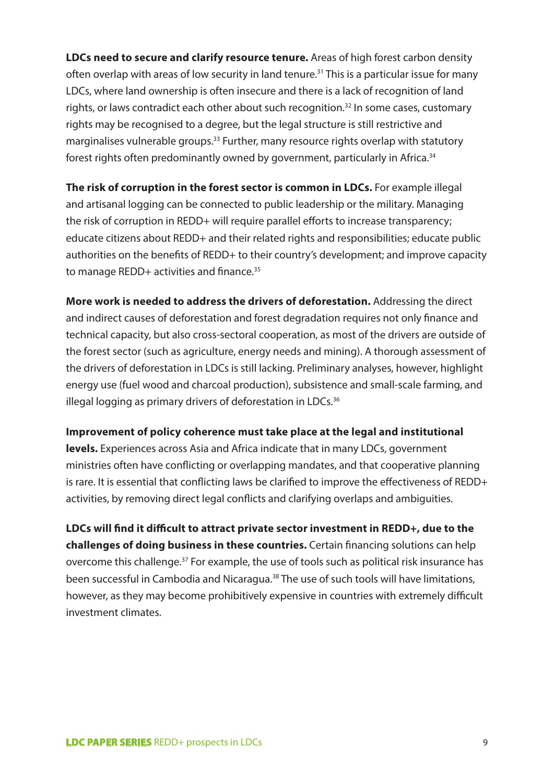**LDCs need to secure and clarify resource tenure.** Areas of high forest carbon density often overlap with areas of low security in land tenure.<sup>31</sup> This is a particular issue for many LDCs, where land ownership is often insecure and there is a lack of recognition of land rights, or laws contradict each other about such recognition.<sup>32</sup> In some cases, customary rights may be recognised to a degree, but the legal structure is still restrictive and marginalises vulnerable groups.<sup>33</sup> Further, many resource rights overlap with statutory forest rights often predominantly owned by government, particularly in Africa.34

**The risk of corruption in the forest sector is common in LDCs.** For example illegal and artisanal logging can be connected to public leadership or the military. Managing the risk of corruption in REDD+ will require parallel efforts to increase transparency; educate citizens about REDD+ and their related rights and responsibilities; educate public authorities on the benefits of REDD+ to their country's development; and improve capacity to manage REDD+ activities and finance.<sup>35</sup>

**More work is needed to address the drivers of deforestation.** Addressing the direct and indirect causes of deforestation and forest degradation requires not only finance and technical capacity, but also cross-sectoral cooperation, as most of the drivers are outside of the forest sector (such as agriculture, energy needs and mining). A thorough assessment of the drivers of deforestation in LDCs is still lacking. Preliminary analyses, however, highlight energy use (fuel wood and charcoal production), subsistence and small-scale farming, and illegal logging as primary drivers of deforestation in LDCs.<sup>36</sup>

#### **Improvement of policy coherence must take place at the legal and institutional**

**levels.** Experiences across Asia and Africa indicate that in many LDCs, government ministries often have conflicting or overlapping mandates, and that cooperative planning is rare. It is essential that conflicting laws be clarified to improve the effectiveness of REDD+ activities, by removing direct legal conflicts and clarifying overlaps and ambiguities.

**LDCs will find it difficult to attract private sector investment in REDD+, due to the challenges of doing business in these countries.** Certain financing solutions can help overcome this challenge.<sup>37</sup> For example, the use of tools such as political risk insurance has been successful in Cambodia and Nicaragua.<sup>38</sup> The use of such tools will have limitations, however, as they may become prohibitively expensive in countries with extremely difficult investment climates.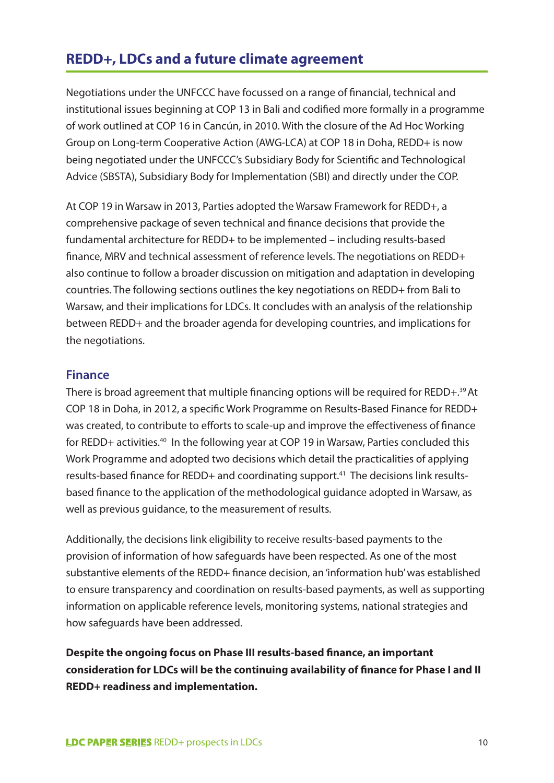## **REDD+, LDCs and a future climate agreement**

Negotiations under the UNFCCC have focussed on a range of financial, technical and institutional issues beginning at COP 13 in Bali and codified more formally in a programme of work outlined at COP 16 in Cancún, in 2010. With the closure of the Ad Hoc Working Group on Long-term Cooperative Action (AWG-LCA) at COP 18 in Doha, REDD+ is now being negotiated under the UNFCCC's Subsidiary Body for Scientific and Technological Advice (SBSTA), Subsidiary Body for Implementation (SBI) and directly under the COP.

At COP 19 in Warsaw in 2013, Parties adopted the Warsaw Framework for REDD+, a comprehensive package of seven technical and finance decisions that provide the fundamental architecture for REDD+ to be implemented – including results-based finance, MRV and technical assessment of reference levels. The negotiations on REDD+ also continue to follow a broader discussion on mitigation and adaptation in developing countries. The following sections outlines the key negotiations on REDD+ from Bali to Warsaw, and their implications for LDCs. It concludes with an analysis of the relationship between REDD+ and the broader agenda for developing countries, and implications for the negotiations.

#### **Finance**

There is broad agreement that multiple financing options will be required for REDD+.<sup>39</sup> At COP 18 in Doha, in 2012, a specific Work Programme on Results-Based Finance for REDD+ was created, to contribute to efforts to scale-up and improve the effectiveness of finance for REDD+ activities.<sup>40</sup> In the following year at COP 19 in Warsaw, Parties concluded this Work Programme and adopted two decisions which detail the practicalities of applying results-based finance for REDD+ and coordinating support.<sup>41</sup> The decisions link resultsbased finance to the application of the methodological guidance adopted in Warsaw, as well as previous guidance, to the measurement of results.

Additionally, the decisions link eligibility to receive results-based payments to the provision of information of how safeguards have been respected. As one of the most substantive elements of the REDD+ finance decision, an 'information hub' was established to ensure transparency and coordination on results-based payments, as well as supporting information on applicable reference levels, monitoring systems, national strategies and how safeguards have been addressed.

**Despite the ongoing focus on Phase III results-based finance, an important consideration for LDCs will be the continuing availability of finance for Phase I and II REDD+ readiness and implementation.**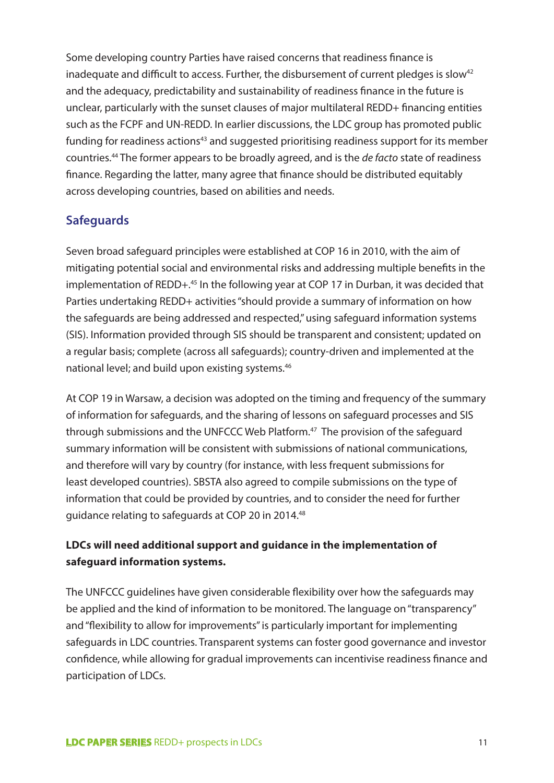Some developing country Parties have raised concerns that readiness finance is inadequate and difficult to access. Further, the disbursement of current pledges is slow<sup>42</sup> and the adequacy, predictability and sustainability of readiness finance in the future is unclear, particularly with the sunset clauses of major multilateral REDD+ financing entities such as the FCPF and UN-REDD. In earlier discussions, the LDC group has promoted public funding for readiness actions<sup>43</sup> and suggested prioritising readiness support for its member countries.44 The former appears to be broadly agreed, and is the *de facto* state of readiness finance. Regarding the latter, many agree that finance should be distributed equitably across developing countries, based on abilities and needs.

## **Safeguards**

Seven broad safeguard principles were established at COP 16 in 2010, with the aim of mitigating potential social and environmental risks and addressing multiple benefits in the implementation of REDD+.<sup>45</sup> In the following year at COP 17 in Durban, it was decided that Parties undertaking REDD+ activities "should provide a summary of information on how the safeguards are being addressed and respected," using safeguard information systems (SIS). Information provided through SIS should be transparent and consistent; updated on a regular basis; complete (across all safeguards); country-driven and implemented at the national level; and build upon existing systems.46

At COP 19 in Warsaw, a decision was adopted on the timing and frequency of the summary of information for safeguards, and the sharing of lessons on safeguard processes and SIS through submissions and the UNFCCC Web Platform.<sup>47</sup> The provision of the safeguard summary information will be consistent with submissions of national communications, and therefore will vary by country (for instance, with less frequent submissions for least developed countries). SBSTA also agreed to compile submissions on the type of information that could be provided by countries, and to consider the need for further guidance relating to safeguards at COP 20 in 2014.48

## **LDCs will need additional support and guidance in the implementation of safeguard information systems.**

The UNFCCC guidelines have given considerable flexibility over how the safeguards may be applied and the kind of information to be monitored. The language on "transparency" and "flexibility to allow for improvements" is particularly important for implementing safeguards in LDC countries. Transparent systems can foster good governance and investor confidence, while allowing for gradual improvements can incentivise readiness finance and participation of LDCs.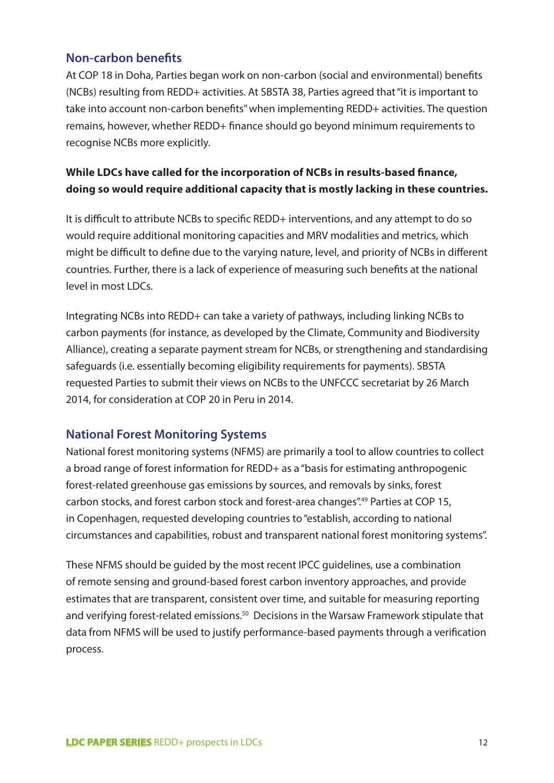#### **Non-carbon benefits**

At COP 18 in Doha, Parties began work on non-carbon (social and environmental) benefits (NCBs) resulting from REDD+ activities. At SBSTA 38, Parties agreed that "it is important to take into account non-carbon benefits" when implementing REDD+ activities. The question remains, however, whether REDD+ finance should go beyond minimum requirements to recognise NCBs more explicitly.

## **While LDCs have called for the incorporation of NCBs in results-based finance, doing so would require additional capacity that is mostly lacking in these countries.**

It is difficult to attribute NCBs to specific REDD+ interventions, and any attempt to do so would require additional monitoring capacities and MRV modalities and metrics, which might be difficult to define due to the varying nature, level, and priority of NCBs in different countries. Further, there is a lack of experience of measuring such benefits at the national level in most LDCs.

Integrating NCBs into REDD+ can take a variety of pathways, including linking NCBs to carbon payments (for instance, as developed by the Climate, Community and Biodiversity Alliance), creating a separate payment stream for NCBs, or strengthening and standardising safeguards (i.e. essentially becoming eligibility requirements for payments). SBSTA requested Parties to submit their views on NCBs to the UNFCCC secretariat by 26 March 2014, for consideration at COP 20 in Peru in 2014.

## **National Forest Monitoring Systems**

National forest monitoring systems (NFMS) are primarily a tool to allow countries to collect a broad range of forest information for REDD+ as a "basis for estimating anthropogenic forest-related greenhouse gas emissions by sources, and removals by sinks, forest carbon stocks, and forest carbon stock and forest-area changes".49 Parties at COP 15, in Copenhagen, requested developing countries to "establish, according to national circumstances and capabilities, robust and transparent national forest monitoring systems".

These NFMS should be guided by the most recent IPCC guidelines, use a combination of remote sensing and ground-based forest carbon inventory approaches, and provide estimates that are transparent, consistent over time, and suitable for measuring reporting and verifying forest-related emissions.<sup>50</sup> Decisions in the Warsaw Framework stipulate that data from NFMS will be used to justify performance-based payments through a verification process.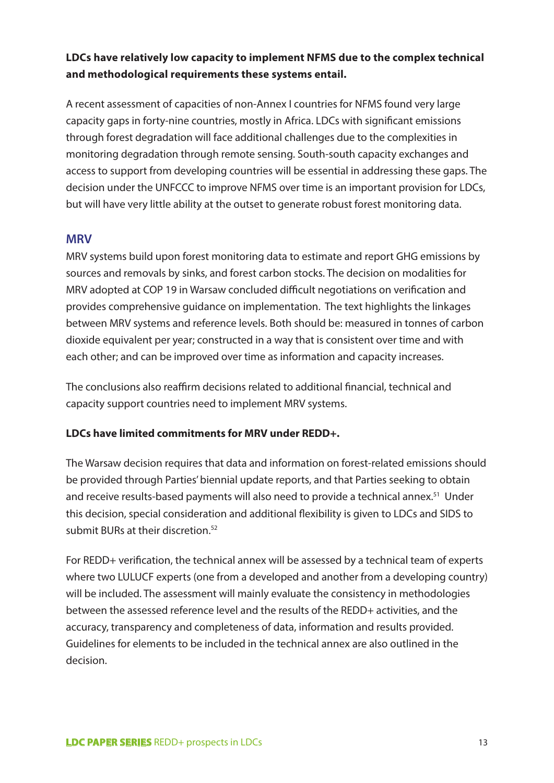## **LDCs have relatively low capacity to implement NFMS due to the complex technical and methodological requirements these systems entail.**

A recent assessment of capacities of non-Annex I countries for NFMS found very large capacity gaps in forty-nine countries, mostly in Africa. LDCs with significant emissions through forest degradation will face additional challenges due to the complexities in monitoring degradation through remote sensing. South-south capacity exchanges and access to support from developing countries will be essential in addressing these gaps. The decision under the UNFCCC to improve NFMS over time is an important provision for LDCs, but will have very little ability at the outset to generate robust forest monitoring data.

#### **MRV**

MRV systems build upon forest monitoring data to estimate and report GHG emissions by sources and removals by sinks, and forest carbon stocks. The decision on modalities for MRV adopted at COP 19 in Warsaw concluded difficult negotiations on verification and provides comprehensive guidance on implementation. The text highlights the linkages between MRV systems and reference levels. Both should be: measured in tonnes of carbon dioxide equivalent per year; constructed in a way that is consistent over time and with each other; and can be improved over time as information and capacity increases.

The conclusions also reaffirm decisions related to additional financial, technical and capacity support countries need to implement MRV systems.

#### **LDCs have limited commitments for MRV under REDD+.**

The Warsaw decision requires that data and information on forest-related emissions should be provided through Parties' biennial update reports, and that Parties seeking to obtain and receive results-based payments will also need to provide a technical annex.<sup>51</sup> Under this decision, special consideration and additional flexibility is given to LDCs and SIDS to submit BURs at their discretion.<sup>52</sup>

For REDD+ verification, the technical annex will be assessed by a technical team of experts where two LULUCF experts (one from a developed and another from a developing country) will be included. The assessment will mainly evaluate the consistency in methodologies between the assessed reference level and the results of the REDD+ activities, and the accuracy, transparency and completeness of data, information and results provided. Guidelines for elements to be included in the technical annex are also outlined in the decision.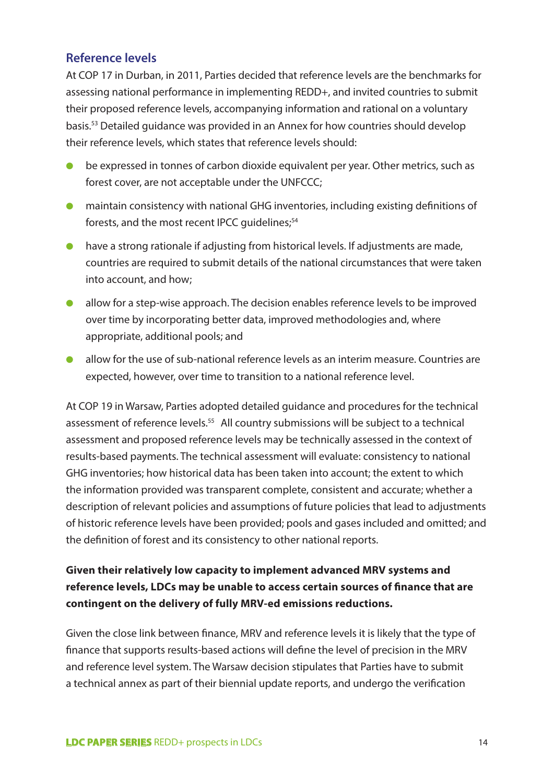## **Reference levels**

At COP 17 in Durban, in 2011, Parties decided that reference levels are the benchmarks for assessing national performance in implementing REDD+, and invited countries to submit their proposed reference levels, accompanying information and rational on a voluntary basis.53 Detailed guidance was provided in an Annex for how countries should develop their reference levels, which states that reference levels should:

- be expressed in tonnes of carbon dioxide equivalent per year. Other metrics, such as forest cover, are not acceptable under the UNFCCC;
- maintain consistency with national GHG inventories, including existing definitions of forests, and the most recent IPCC guidelines;<sup>54</sup>
- have a strong rationale if adjusting from historical levels. If adjustments are made, countries are required to submit details of the national circumstances that were taken into account, and how;
- allow for a step-wise approach. The decision enables reference levels to be improved over time by incorporating better data, improved methodologies and, where appropriate, additional pools; and
- allow for the use of sub-national reference levels as an interim measure. Countries are expected, however, over time to transition to a national reference level.

At COP 19 in Warsaw, Parties adopted detailed guidance and procedures for the technical assessment of reference levels.<sup>55</sup> All country submissions will be subject to a technical assessment and proposed reference levels may be technically assessed in the context of results-based payments. The technical assessment will evaluate: consistency to national GHG inventories; how historical data has been taken into account; the extent to which the information provided was transparent complete, consistent and accurate; whether a description of relevant policies and assumptions of future policies that lead to adjustments of historic reference levels have been provided; pools and gases included and omitted; and the definition of forest and its consistency to other national reports.

## **Given their relatively low capacity to implement advanced MRV systems and reference levels, LDCs may be unable to access certain sources of finance that are contingent on the delivery of fully MRV-ed emissions reductions.**

Given the close link between finance, MRV and reference levels it is likely that the type of finance that supports results-based actions will define the level of precision in the MRV and reference level system. The Warsaw decision stipulates that Parties have to submit a technical annex as part of their biennial update reports, and undergo the verification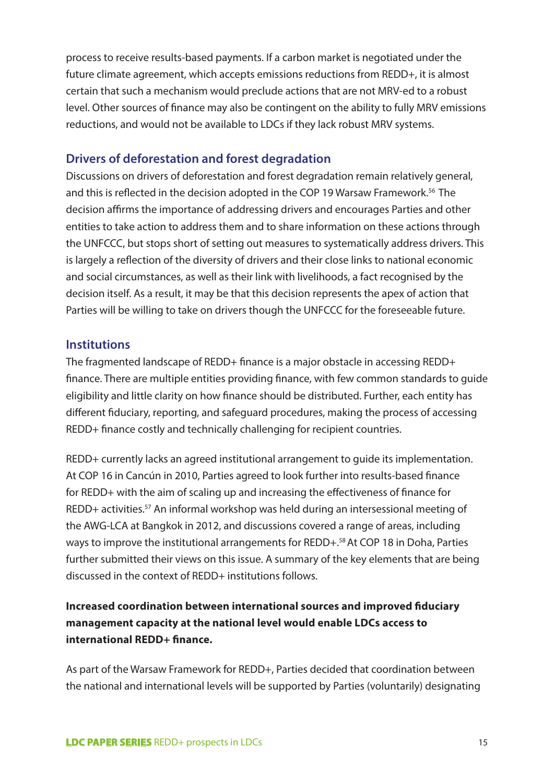process to receive results-based payments. If a carbon market is negotiated under the future climate agreement, which accepts emissions reductions from REDD+, it is almost certain that such a mechanism would preclude actions that are not MRV-ed to a robust level. Other sources of finance may also be contingent on the ability to fully MRV emissions reductions, and would not be available to LDCs if they lack robust MRV systems.

### **Drivers of deforestation and forest degradation**

Discussions on drivers of deforestation and forest degradation remain relatively general, and this is reflected in the decision adopted in the COP 19 Warsaw Framework.<sup>56</sup> The decision affirms the importance of addressing drivers and encourages Parties and other entities to take action to address them and to share information on these actions through the UNFCCC, but stops short of setting out measures to systematically address drivers. This is largely a reflection of the diversity of drivers and their close links to national economic and social circumstances, as well as their link with livelihoods, a fact recognised by the decision itself. As a result, it may be that this decision represents the apex of action that Parties will be willing to take on drivers though the UNFCCC for the foreseeable future.

#### **Institutions**

The fragmented landscape of REDD+ finance is a major obstacle in accessing REDD+ finance. There are multiple entities providing finance, with few common standards to guide eligibility and little clarity on how finance should be distributed. Further, each entity has different fiduciary, reporting, and safeguard procedures, making the process of accessing REDD+ finance costly and technically challenging for recipient countries.

REDD+ currently lacks an agreed institutional arrangement to guide its implementation. At COP 16 in Cancún in 2010, Parties agreed to look further into results-based finance for REDD+ with the aim of scaling up and increasing the effectiveness of finance for REDD+ activities.<sup>57</sup> An informal workshop was held during an intersessional meeting of the AWG-LCA at Bangkok in 2012, and discussions covered a range of areas, including ways to improve the institutional arrangements for REDD+.<sup>58</sup> At COP 18 in Doha, Parties further submitted their views on this issue. A summary of the key elements that are being discussed in the context of REDD+ institutions follows.

## **Increased coordination between international sources and improved fiduciary management capacity at the national level would enable LDCs access to international REDD+ finance.**

As part of the Warsaw Framework for REDD+, Parties decided that coordination between the national and international levels will be supported by Parties (voluntarily) designating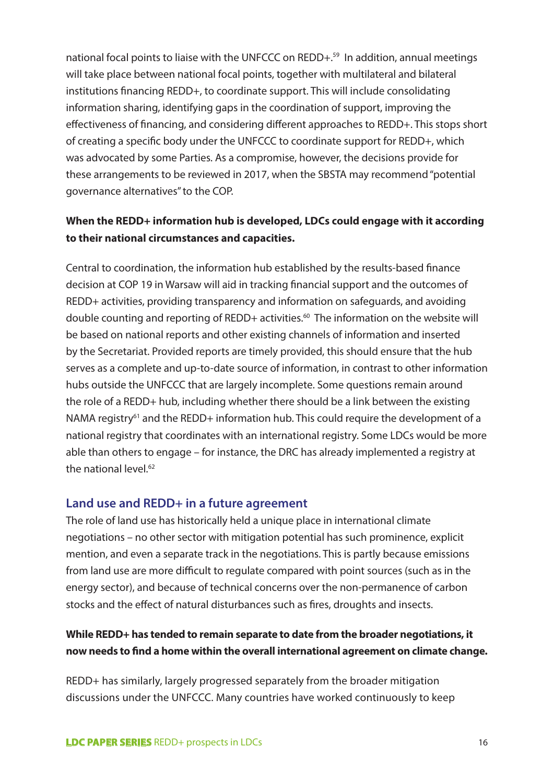national focal points to liaise with the UNFCCC on REDD+.<sup>59</sup> In addition, annual meetings will take place between national focal points, together with multilateral and bilateral institutions financing REDD+, to coordinate support. This will include consolidating information sharing, identifying gaps in the coordination of support, improving the effectiveness of financing, and considering different approaches to REDD+. This stops short of creating a specific body under the UNFCCC to coordinate support for REDD+, which was advocated by some Parties. As a compromise, however, the decisions provide for these arrangements to be reviewed in 2017, when the SBSTA may recommend "potential governance alternatives" to the COP.

## **When the REDD+ information hub is developed, LDCs could engage with it according to their national circumstances and capacities.**

Central to coordination, the information hub established by the results-based finance decision at COP 19 in Warsaw will aid in tracking financial support and the outcomes of REDD+ activities, providing transparency and information on safeguards, and avoiding double counting and reporting of REDD+ activities.<sup>60</sup> The information on the website will be based on national reports and other existing channels of information and inserted by the Secretariat. Provided reports are timely provided, this should ensure that the hub serves as a complete and up-to-date source of information, in contrast to other information hubs outside the UNFCCC that are largely incomplete. Some questions remain around the role of a REDD+ hub, including whether there should be a link between the existing NAMA registry<sup>61</sup> and the REDD+ information hub. This could require the development of a national registry that coordinates with an international registry. Some LDCs would be more able than others to engage – for instance, the DRC has already implemented a registry at the national level.<sup>62</sup>

#### **Land use and REDD+ in a future agreement**

The role of land use has historically held a unique place in international climate negotiations – no other sector with mitigation potential has such prominence, explicit mention, and even a separate track in the negotiations. This is partly because emissions from land use are more difficult to regulate compared with point sources (such as in the energy sector), and because of technical concerns over the non-permanence of carbon stocks and the effect of natural disturbances such as fires, droughts and insects.

## **While REDD+ has tended to remain separate to date from the broader negotiations, it now needs to find a home within the overall international agreement on climate change.**

REDD+ has similarly, largely progressed separately from the broader mitigation discussions under the UNFCCC. Many countries have worked continuously to keep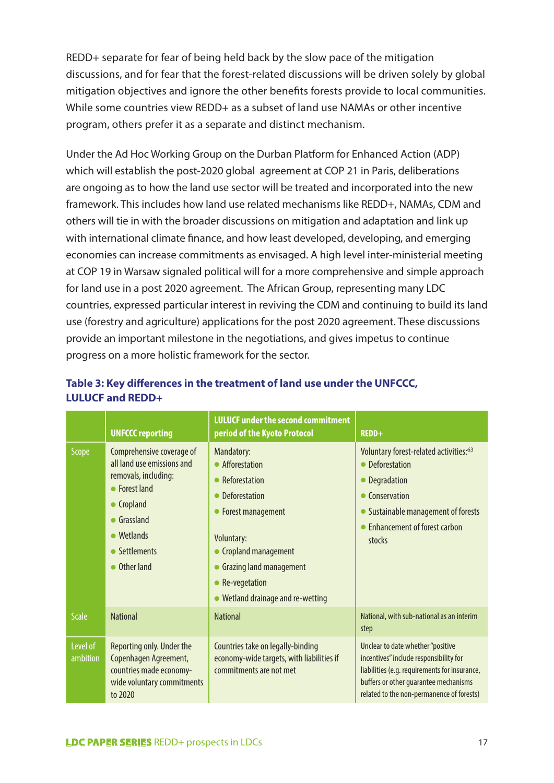REDD+ separate for fear of being held back by the slow pace of the mitigation discussions, and for fear that the forest-related discussions will be driven solely by global mitigation objectives and ignore the other benefits forests provide to local communities. While some countries view REDD+ as a subset of land use NAMAs or other incentive program, others prefer it as a separate and distinct mechanism.

Under the Ad Hoc Working Group on the Durban Platform for Enhanced Action (ADP) which will establish the post-2020 global agreement at COP 21 in Paris, deliberations are ongoing as to how the land use sector will be treated and incorporated into the new framework. This includes how land use related mechanisms like REDD+, NAMAs, CDM and others will tie in with the broader discussions on mitigation and adaptation and link up with international climate finance, and how least developed, developing, and emerging economies can increase commitments as envisaged. A high level inter-ministerial meeting at COP 19 in Warsaw signaled political will for a more comprehensive and simple approach for land use in a post 2020 agreement. The African Group, representing many LDC countries, expressed particular interest in reviving the CDM and continuing to build its land use (forestry and agriculture) applications for the post 2020 agreement. These discussions provide an important milestone in the negotiations, and gives impetus to continue progress on a more holistic framework for the sector.

|                      | <b>UNFCCC reporting</b>                                                                                                                                                                      | <b>LULUCF under the second commitment</b><br>period of the Kyoto Protocol                                                                                                                                                | REDD+                                                                                                                                                                                                              |
|----------------------|----------------------------------------------------------------------------------------------------------------------------------------------------------------------------------------------|--------------------------------------------------------------------------------------------------------------------------------------------------------------------------------------------------------------------------|--------------------------------------------------------------------------------------------------------------------------------------------------------------------------------------------------------------------|
| Scope                | Comprehensive coverage of<br>all land use emissions and<br>removals, including:<br>• Forest land<br>• Cropland<br>$\bullet$ Grassland<br>$\bullet$ Wetlands<br>• Settlements<br>• Other land | Mandatory:<br>• Afforestation<br>Reforestation<br>Deforestation<br>• Forest management<br><b>Voluntary:</b><br>Cropland management<br><b>Grazing land management</b><br>Re-vegetation<br>Wetland drainage and re-wetting | Voluntary forest-related activities: <sup>63</sup><br>• Deforestation<br>• Degradation<br>Conservation<br>$\bullet$<br>• Sustainable management of forests<br><b>Enhancement of forest carbon</b><br>stocks        |
| <b>Scale</b>         | <b>National</b>                                                                                                                                                                              | <b>National</b>                                                                                                                                                                                                          | National, with sub-national as an interim<br>step                                                                                                                                                                  |
| Level of<br>ambition | Reporting only. Under the<br>Copenhagen Agreement,<br>countries made economy-<br>wide voluntary commitments<br>to 2020                                                                       | Countries take on legally-binding<br>economy-wide targets, with liabilities if<br>commitments are not met                                                                                                                | Unclear to date whether "positive<br>incentives" include responsibility for<br>liabilities (e.g. requirements for insurance,<br>buffers or other quarantee mechanisms<br>related to the non-permanence of forests) |

## **Table 3: Key differences in the treatment of land use under the UNFCCC, LULUCF and REDD+**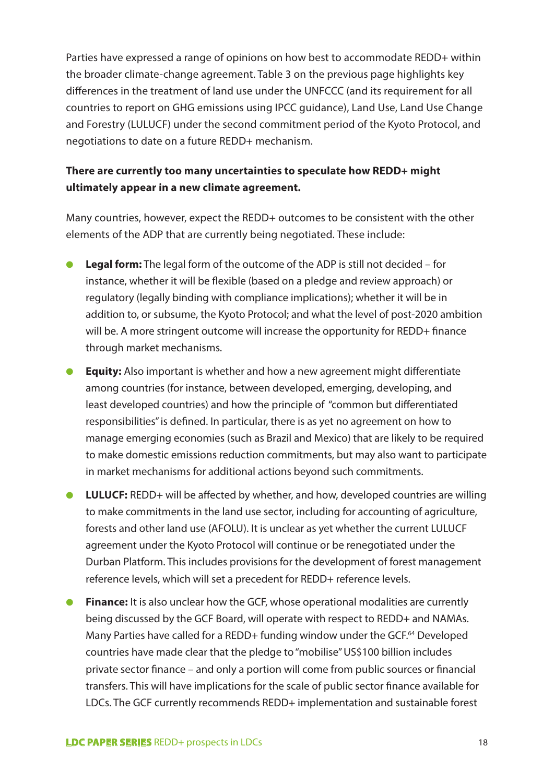Parties have expressed a range of opinions on how best to accommodate REDD+ within the broader climate-change agreement. Table 3 on the previous page highlights key differences in the treatment of land use under the UNFCCC (and its requirement for all countries to report on GHG emissions using IPCC guidance), Land Use, Land Use Change and Forestry (LULUCF) under the second commitment period of the Kyoto Protocol, and negotiations to date on a future REDD+ mechanism.

## **There are currently too many uncertainties to speculate how REDD+ might ultimately appear in a new climate agreement.**

Many countries, however, expect the REDD+ outcomes to be consistent with the other elements of the ADP that are currently being negotiated. These include:

- **Legal form:** The legal form of the outcome of the ADP is still not decided for instance, whether it will be flexible (based on a pledge and review approach) or regulatory (legally binding with compliance implications); whether it will be in addition to, or subsume, the Kyoto Protocol; and what the level of post-2020 ambition will be. A more stringent outcome will increase the opportunity for REDD+ finance through market mechanisms.
- **Equity:** Also important is whether and how a new agreement might differentiate among countries (for instance, between developed, emerging, developing, and least developed countries) and how the principle of "common but differentiated responsibilities" is defined. In particular, there is as yet no agreement on how to manage emerging economies (such as Brazil and Mexico) that are likely to be required to make domestic emissions reduction commitments, but may also want to participate in market mechanisms for additional actions beyond such commitments.
- **LULUCF:** REDD+ will be affected by whether, and how, developed countries are willing to make commitments in the land use sector, including for accounting of agriculture, forests and other land use (AFOLU). It is unclear as yet whether the current LULUCF agreement under the Kyoto Protocol will continue or be renegotiated under the Durban Platform. This includes provisions for the development of forest management reference levels, which will set a precedent for REDD+ reference levels.
- **Finance:** It is also unclear how the GCF, whose operational modalities are currently being discussed by the GCF Board, will operate with respect to REDD+ and NAMAs. Many Parties have called for a REDD+ funding window under the GCF.<sup>64</sup> Developed countries have made clear that the pledge to "mobilise" US\$100 billion includes private sector finance – and only a portion will come from public sources or financial transfers. This will have implications for the scale of public sector finance available for LDCs. The GCF currently recommends REDD+ implementation and sustainable forest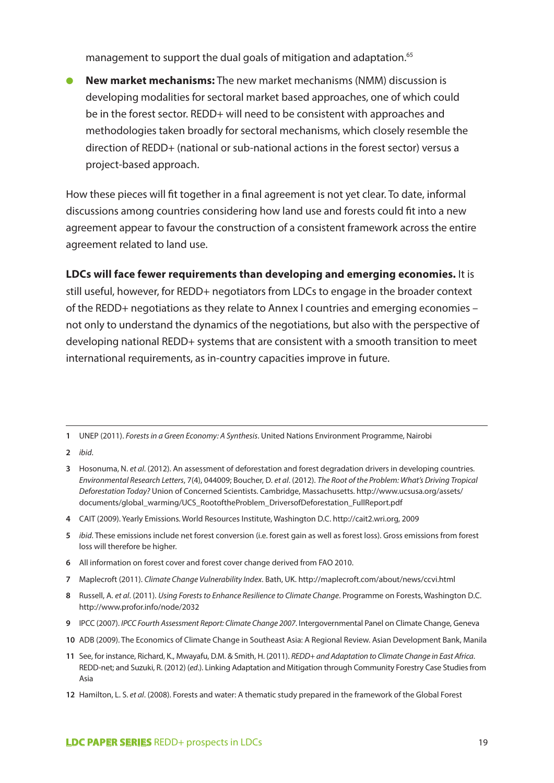management to support the dual goals of mitigation and adaptation.<sup>65</sup>

**New market mechanisms:** The new market mechanisms (NMM) discussion is developing modalities for sectoral market based approaches, one of which could be in the forest sector. REDD+ will need to be consistent with approaches and methodologies taken broadly for sectoral mechanisms, which closely resemble the direction of REDD+ (national or sub-national actions in the forest sector) versus a project-based approach.

How these pieces will fit together in a final agreement is not yet clear. To date, informal discussions among countries considering how land use and forests could fit into a new agreement appear to favour the construction of a consistent framework across the entire agreement related to land use.

**LDCs will face fewer requirements than developing and emerging economies.** It is still useful, however, for REDD+ negotiators from LDCs to engage in the broader context of the REDD+ negotiations as they relate to Annex I countries and emerging economies – not only to understand the dynamics of the negotiations, but also with the perspective of developing national REDD+ systems that are consistent with a smooth transition to meet international requirements, as in-country capacities improve in future.

**2** *ibid*.

- **5** *ibid*. These emissions include net forest conversion (i.e. forest gain as well as forest loss). Gross emissions from forest loss will therefore be higher.
- **6** All information on forest cover and forest cover change derived from FAO 2010.
- **7** Maplecroft (2011). *Climate Change Vulnerability Index*. Bath, UK. http://maplecroft.com/about/news/ccvi.html
- **8** Russell, A. *et al*. (2011). *Using Forests to Enhance Resilience to Climate Change*. Programme on Forests, Washington D.C. http://www.profor.info/node/2032
- **9** IPCC (2007). *IPCC Fourth Assessment Report: Climate Change 2007*. Intergovernmental Panel on Climate Change, Geneva
- **10** ADB (2009). The Economics of Climate Change in Southeast Asia: A Regional Review. Asian Development Bank, Manila
- **11** See, for instance, Richard, K., Mwayafu, D.M. & Smith, H. (2011). *REDD+ and Adaptation to Climate Change in East Africa*. REDD-net; and Suzuki, R. (2012) (*ed*.). Linking Adaptation and Mitigation through Community Forestry Case Studies from Asia
- **12** Hamilton, L. S. *et al*. (2008). Forests and water: A thematic study prepared in the framework of the Global Forest

**<sup>1</sup>** UNEP (2011). *Forests in a Green Economy: A Synthesis*. United Nations Environment Programme, Nairobi

**<sup>3</sup>** Hosonuma, N. *et al*. (2012). An assessment of deforestation and forest degradation drivers in developing countries. *Environmental Research Letters*, 7(4), 044009; Boucher, D. *et al*. (2012). *The Root of the Problem: What's Driving Tropical Deforestation Today?* Union of Concerned Scientists. Cambridge, Massachusetts. http://www.ucsusa.org/assets/ documents/global\_warming/UCS\_RootoftheProblem\_DriversofDeforestation\_FullReport.pdf

**<sup>4</sup>** CAIT (2009). Yearly Emissions. World Resources Institute, Washington D.C. http://cait2.wri.org, 2009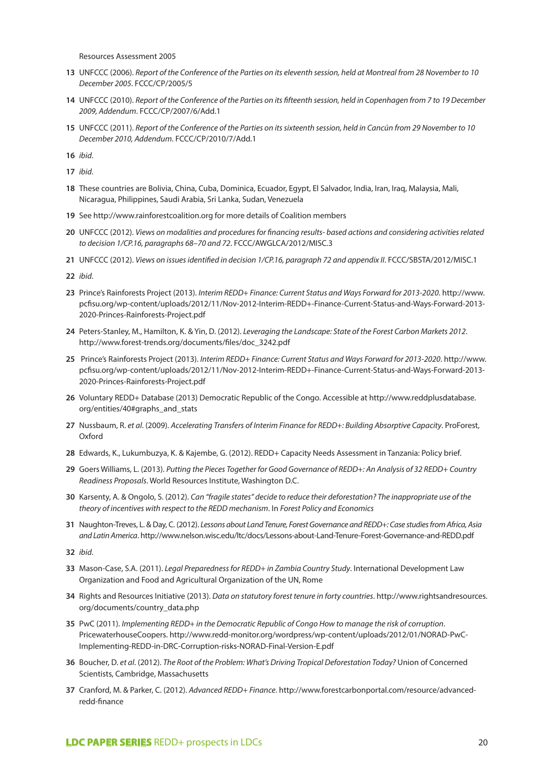Resources Assessment 2005

- **13** UNFCCC (2006). *Report of the Conference of the Parties on its eleventh session, held at Montreal from 28 November to 10 December 2005*. FCCC/CP/2005/5
- **14** UNFCCC (2010). *Report of the Conference of the Parties on its fifteenth session, held in Copenhagen from 7 to 19 December 2009, Addendum*. FCCC/CP/2007/6/Add.1
- **15** UNFCCC (2011). *Report of the Conference of the Parties on its sixteenth session, held in Cancún from 29 November to 10 December 2010, Addendum*. FCCC/CP/2010/7/Add.1

**16** *ibid*.

**17** *ibid*.

- **18** These countries are Bolivia, China, Cuba, Dominica, Ecuador, Egypt, El Salvador, India, Iran, Iraq, Malaysia, Mali, Nicaragua, Philippines, Saudi Arabia, Sri Lanka, Sudan, Venezuela
- **19** See http://www.rainforestcoalition.org for more details of Coalition members
- **20** UNFCCC (2012). *Views on modalities and procedures for financing results- based actions and considering activities related to decision 1/CP.16, paragraphs 68–70 and 72*. FCCC/AWGLCA/2012/MISC.3
- **21** UNFCCC (2012). *Views on issues identified in decision 1/CP.16, paragraph 72 and appendix II*. FCCC/SBSTA/2012/MISC.1

**22** *ibid*.

- **23** Prince's Rainforests Project (2013). *Interim REDD+ Finance: Current Status and Ways Forward for 2013-2020*. http://www. pcfisu.org/wp-content/uploads/2012/11/Nov-2012-Interim-REDD+-Finance-Current-Status-and-Ways-Forward-2013- 2020-Princes-Rainforests-Project.pdf
- **24** Peters-Stanley, M., Hamilton, K. & Yin, D. (2012). *Leveraging the Landscape: State of the Forest Carbon Markets 2012*. http://www.forest-trends.org/documents/files/doc\_3242.pdf
- **25** Prince's Rainforests Project (2013). *Interim REDD+ Finance: Current Status and Ways Forward for 2013-2020*. http://www. pcfisu.org/wp-content/uploads/2012/11/Nov-2012-Interim-REDD+-Finance-Current-Status-and-Ways-Forward-2013- 2020-Princes-Rainforests-Project.pdf
- **26** Voluntary REDD+ Database (2013) Democratic Republic of the Congo. Accessible at http://www.reddplusdatabase. org/entities/40#graphs\_and\_stats
- **27** Nussbaum, R. *et al*. (2009). *Accelerating Transfers of Interim Finance for REDD+: Building Absorptive Capacity*. ProForest, **Oxford**
- **28** Edwards, K., Lukumbuzya, K. & Kajembe, G. (2012). REDD+ Capacity Needs Assessment in Tanzania: Policy brief.
- **29** Goers Williams, L. (2013). *Putting the Pieces Together for Good Governance of REDD+: An Analysis of 32 REDD+ Country Readiness Proposals*. World Resources Institute, Washington D.C.
- **30** Karsenty, A. & Ongolo, S. (2012). *Can "fragile states" decide to reduce their deforestation? The inappropriate use of the theory of incentives with respect to the REDD mechanism*. In *Forest Policy and Economics*
- **31** Naughton-Treves, L. & Day, C. (2012). *Lessons about Land Tenure, Forest Governance and REDD+: Case studies from Africa, Asia and Latin America*. http://www.nelson.wisc.edu/ltc/docs/Lessons-about-Land-Tenure-Forest-Governance-and-REDD.pdf

**32** *ibid*.

- **33** Mason-Case, S.A. (2011). *Legal Preparedness for REDD+ in Zambia Country Study*. International Development Law Organization and Food and Agricultural Organization of the UN, Rome
- **34** Rights and Resources Initiative (2013). *Data on statutory forest tenure in forty countries*. http://www.rightsandresources. org/documents/country\_data.php
- **35** PwC (2011). *Implementing REDD+ in the Democratic Republic of Congo How to manage the risk of corruption*. PricewaterhouseCoopers. http://www.redd-monitor.org/wordpress/wp-content/uploads/2012/01/NORAD-PwC-Implementing-REDD-in-DRC-Corruption-risks-NORAD-Final-Version-E.pdf
- **36** Boucher, D. *et al*. (2012). *The Root of the Problem: What's Driving Tropical Deforestation Today?* Union of Concerned Scientists, Cambridge, Massachusetts
- **37** Cranford, M. & Parker, C. (2012). *Advanced REDD+ Finance*. http://www.forestcarbonportal.com/resource/advancedredd-finance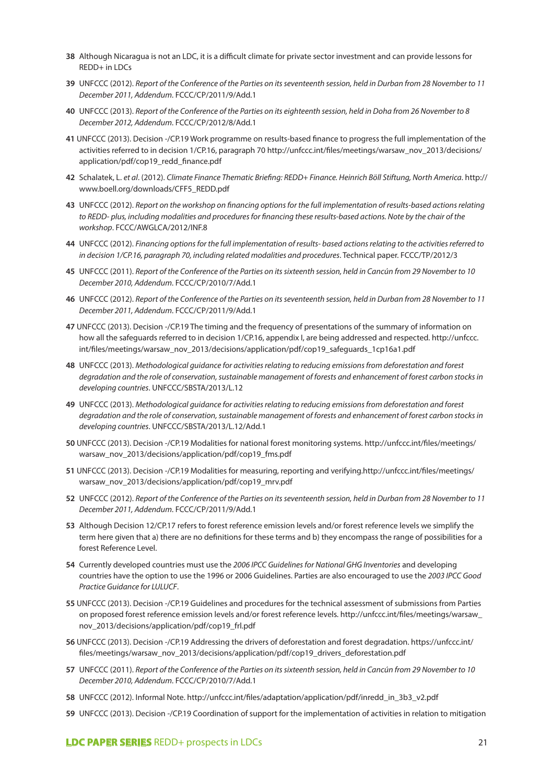- **38** Although Nicaragua is not an LDC, it is a difficult climate for private sector investment and can provide lessons for REDD+ in LDCs
- **39** UNFCCC (2012). *Report of the Conference of the Parties on its seventeenth session, held in Durban from 28 November to 11 December 2011, Addendum*. FCCC/CP/2011/9/Add.1
- **40** UNFCCC (2013). *Report of the Conference of the Parties on its eighteenth session, held in Doha from 26 November to 8 December 2012, Addendum*. FCCC/CP/2012/8/Add.1
- **41** UNFCCC (2013). Decision -/CP.19 Work programme on results-based finance to progress the full implementation of the activities referred to in decision 1/CP.16, paragraph 70 http://unfccc.int/files/meetings/warsaw\_nov\_2013/decisions/ application/pdf/cop19\_redd\_finance.pdf
- **42** Schalatek, L. *et al*. (2012). *Climate Finance Thematic Briefing: REDD+ Finance. Heinrich Böll Stiftung, North America*. http:// www.boell.org/downloads/CFF5\_REDD.pdf
- **43** UNFCCC (2012). *Report on the workshop on financing options for the full implementation of results-based actions relating*  to REDD- plus, including modalities and procedures for financing these results-based actions. Note by the chair of the *workshop*. FCCC/AWGLCA/2012/INF.8
- **44** UNFCCC (2012). *Financing options for the full implementation of results- based actions relating to the activities referred to in decision 1/CP.16, paragraph 70, including related modalities and procedures*. Technical paper. FCCC/TP/2012/3
- **45** UNFCCC (2011). *Report of the Conference of the Parties on its sixteenth session, held in Cancún from 29 November to 10 December 2010, Addendum*. FCCC/CP/2010/7/Add.1
- **46** UNFCCC (2012). *Report of the Conference of the Parties on its seventeenth session, held in Durban from 28 November to 11 December 2011, Addendum*. FCCC/CP/2011/9/Add.1
- **47** UNFCCC (2013). Decision -/CP.19 The timing and the frequency of presentations of the summary of information on how all the safeguards referred to in decision 1/CP.16, appendix I, are being addressed and respected. http://unfccc. int/files/meetings/warsaw\_nov\_2013/decisions/application/pdf/cop19\_safeguards\_1cp16a1.pdf
- **48** UNFCCC (2013). *Methodological guidance for activities relating to reducing emissions from deforestation and forest degradation and the role of conservation, sustainable management of forests and enhancement of forest carbon stocks in developing countries*. UNFCCC/SBSTA/2013/L.12
- **49** UNFCCC (2013). *Methodological guidance for activities relating to reducing emissions from deforestation and forest degradation and the role of conservation, sustainable management of forests and enhancement of forest carbon stocks in developing countries*. UNFCCC/SBSTA/2013/L.12/Add.1
- **50** UNFCCC (2013). Decision -/CP.19 Modalities for national forest monitoring systems. http://unfccc.int/files/meetings/ warsaw\_nov\_2013/decisions/application/pdf/cop19\_fms.pdf
- **51** UNFCCC (2013). Decision -/CP.19 Modalities for measuring, reporting and verifying.http://unfccc.int/files/meetings/ warsaw\_nov\_2013/decisions/application/pdf/cop19\_mrv.pdf
- **52** UNFCCC (2012). *Report of the Conference of the Parties on its seventeenth session, held in Durban from 28 November to 11 December 2011, Addendum*. FCCC/CP/2011/9/Add.1
- **53** Although Decision 12/CP.17 refers to forest reference emission levels and/or forest reference levels we simplify the term here given that a) there are no definitions for these terms and b) they encompass the range of possibilities for a forest Reference Level.
- **54** Currently developed countries must use the *2006 IPCC Guidelines for National GHG Inventories* and developing countries have the option to use the 1996 or 2006 Guidelines. Parties are also encouraged to use the *2003 IPCC Good Practice Guidance for LULUCF*.
- **55** UNFCCC (2013). Decision -/CP.19 Guidelines and procedures for the technical assessment of submissions from Parties on proposed forest reference emission levels and/or forest reference levels. http://unfccc.int/files/meetings/warsaw\_ nov\_2013/decisions/application/pdf/cop19\_frl.pdf
- **56** UNFCCC (2013). Decision -/CP.19 Addressing the drivers of deforestation and forest degradation. https://unfccc.int/ files/meetings/warsaw\_nov\_2013/decisions/application/pdf/cop19\_drivers\_deforestation.pdf
- **57** UNFCCC (2011). *Report of the Conference of the Parties on its sixteenth session, held in Cancún from 29 November to 10 December 2010, Addendum*. FCCC/CP/2010/7/Add.1
- **58** UNFCCC (2012). Informal Note. http://unfccc.int/files/adaptation/application/pdf/inredd\_in\_3b3\_v2.pdf
- **59** UNFCCC (2013). Decision -/CP.19 Coordination of support for the implementation of activities in relation to mitigation